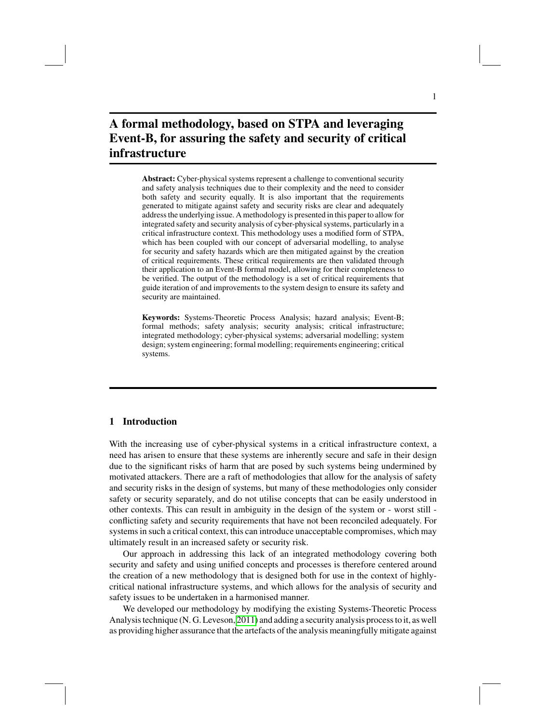# A formal methodology, based on STPA and leveraging Event-B, for assuring the safety and security of critical infrastructure

Abstract: Cyber-physical systems represent a challenge to conventional security and safety analysis techniques due to their complexity and the need to consider both safety and security equally. It is also important that the requirements generated to mitigate against safety and security risks are clear and adequately address the underlying issue. A methodology is presented in this paper to allow for integrated safety and security analysis of cyber-physical systems, particularly in a critical infrastructure context. This methodology uses a modified form of STPA, which has been coupled with our concept of adversarial modelling, to analyse for security and safety hazards which are then mitigated against by the creation of critical requirements. These critical requirements are then validated through their application to an Event-B formal model, allowing for their completeness to be verified. The output of the methodology is a set of critical requirements that guide iteration of and improvements to the system design to ensure its safety and security are maintained.

Keywords: Systems-Theoretic Process Analysis; hazard analysis; Event-B; formal methods; safety analysis; security analysis; critical infrastructure; integrated methodology; cyber-physical systems; adversarial modelling; system design; system engineering; formal modelling; requirements engineering; critical systems.

# 1 Introduction

With the increasing use of cyber-physical systems in a critical infrastructure context, a need has arisen to ensure that these systems are inherently secure and safe in their design due to the significant risks of harm that are posed by such systems being undermined by motivated attackers. There are a raft of methodologies that allow for the analysis of safety and security risks in the design of systems, but many of these methodologies only consider safety or security separately, and do not utilise concepts that can be easily understood in other contexts. This can result in ambiguity in the design of the system or - worst still conflicting safety and security requirements that have not been reconciled adequately. For systems in such a critical context, this can introduce unacceptable compromises, which may ultimately result in an increased safety or security risk.

Our approach in addressing this lack of an integrated methodology covering both security and safety and using unified concepts and processes is therefore centered around the creation of a new methodology that is designed both for use in the context of highlycritical national infrastructure systems, and which allows for the analysis of security and safety issues to be undertaken in a harmonised manner.

We developed our methodology by modifying the existing Systems-Theoretic Process Analysis technique (N. G. Leveson, [2011\)](#page-18-0) and adding a security analysis process to it, as well as providing higher assurance that the artefacts of the analysis meaningfully mitigate against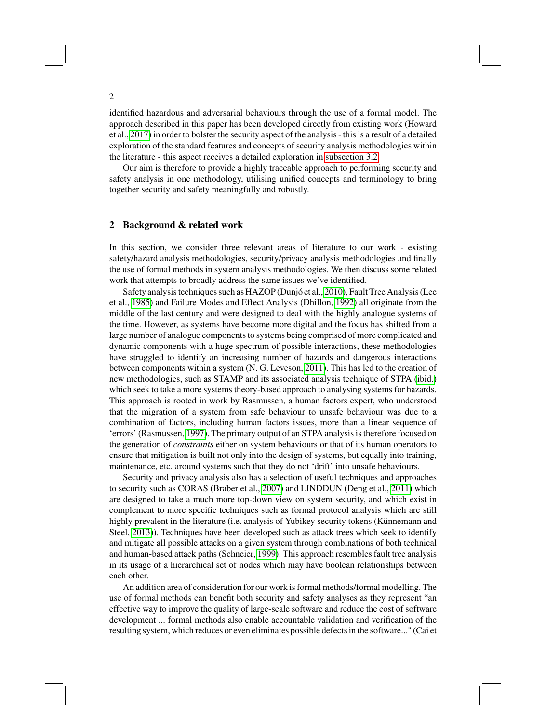identified hazardous and adversarial behaviours through the use of a formal model. The approach described in this paper has been developed directly from existing work (Howard et al., [2017\)](#page-17-0) in order to bolster the security aspect of the analysis - this is a result of a detailed exploration of the standard features and concepts of security analysis methodologies within the literature - this aspect receives a detailed exploration in [subsection 3.2.](#page-3-0)

Our aim is therefore to provide a highly traceable approach to performing security and safety analysis in one methodology, utilising unified concepts and terminology to bring together security and safety meaningfully and robustly.

### 2 Background & related work

In this section, we consider three relevant areas of literature to our work - existing safety/hazard analysis methodologies, security/privacy analysis methodologies and finally the use of formal methods in system analysis methodologies. We then discuss some related work that attempts to broadly address the same issues we've identified.

Safety analysis techniques such as HAZOP (Dunjó et al., [2010\)](#page-17-1), Fault Tree Analysis (Lee et al., [1985\)](#page-18-1) and Failure Modes and Effect Analysis (Dhillon, [1992\)](#page-17-2) all originate from the middle of the last century and were designed to deal with the highly analogue systems of the time. However, as systems have become more digital and the focus has shifted from a large number of analogue components to systems being comprised of more complicated and dynamic components with a huge spectrum of possible interactions, these methodologies have struggled to identify an increasing number of hazards and dangerous interactions between components within a system (N. G. Leveson, [2011\)](#page-18-0). This has led to the creation of new methodologies, such as STAMP and its associated analysis technique of STPA [\(ibid.\)](#page-18-0) which seek to take a more systems theory-based approach to analysing systems for hazards. This approach is rooted in work by Rasmussen, a human factors expert, who understood that the migration of a system from safe behaviour to unsafe behaviour was due to a combination of factors, including human factors issues, more than a linear sequence of 'errors' (Rasmussen, [1997\)](#page-18-2). The primary output of an STPA analysis is therefore focused on the generation of *constraints* either on system behaviours or that of its human operators to ensure that mitigation is built not only into the design of systems, but equally into training, maintenance, etc. around systems such that they do not 'drift' into unsafe behaviours.

Security and privacy analysis also has a selection of useful techniques and approaches to security such as CORAS (Braber et al., [2007\)](#page-17-3) and LINDDUN (Deng et al., [2011\)](#page-17-4) which are designed to take a much more top-down view on system security, and which exist in complement to more specific techniques such as formal protocol analysis which are still highly prevalent in the literature (i.e. analysis of Yubikey security tokens (Künnemann and Steel, [2013\)](#page-18-3)). Techniques have been developed such as attack trees which seek to identify and mitigate all possible attacks on a given system through combinations of both technical and human-based attack paths (Schneier, [1999\)](#page-18-4). This approach resembles fault tree analysis in its usage of a hierarchical set of nodes which may have boolean relationships between each other.

An addition area of consideration for our work is formal methods/formal modelling. The use of formal methods can benefit both security and safety analyses as they represent "an effective way to improve the quality of large-scale software and reduce the cost of software development ... formal methods also enable accountable validation and verification of the resulting system, which reduces or even eliminates possible defects in the software..." (Cai et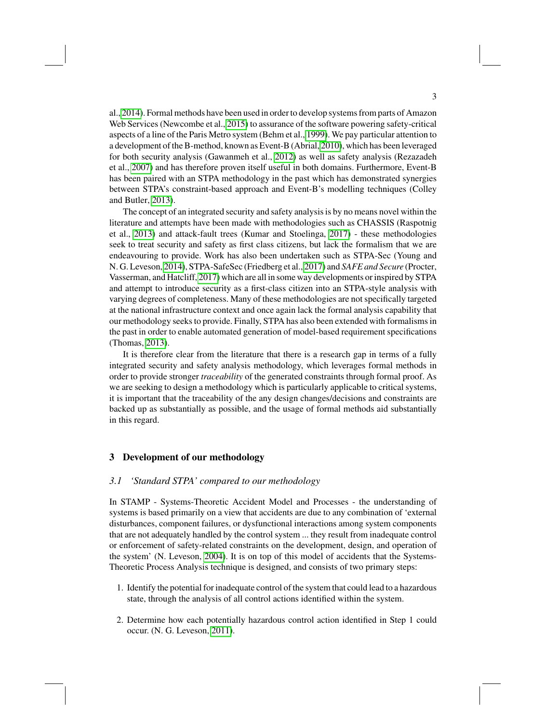al., [2014\)](#page-17-5). Formal methods have been used in order to develop systems from parts of Amazon Web Services (Newcombe et al., [2015\)](#page-18-5) to assurance of the software powering safety-critical aspects of a line of the Paris Metro system (Behm et al., [1999\)](#page-17-6). We pay particular attention to a development of the B-method, known as Event-B (Abrial, [2010\)](#page-16-0), which has been leveraged for both security analysis (Gawanmeh et al., [2012\)](#page-17-7) as well as safety analysis (Rezazadeh et al., [2007\)](#page-18-6) and has therefore proven itself useful in both domains. Furthermore, Event-B has been paired with an STPA methodology in the past which has demonstrated synergies between STPA's constraint-based approach and Event-B's modelling techniques (Colley and Butler, [2013\)](#page-17-8).

The concept of an integrated security and safety analysis is by no means novel within the literature and attempts have been made with methodologies such as CHASSIS (Raspotnig et al., [2013\)](#page-18-7) and attack-fault trees (Kumar and Stoelinga, [2017\)](#page-18-8) - these methodologies seek to treat security and safety as first class citizens, but lack the formalism that we are endeavouring to provide. Work has also been undertaken such as STPA-Sec (Young and N. G. Leveson, [2014\)](#page-19-0), STPA-SafeSec (Friedberg et al., [2017\)](#page-17-9) and *SAFE and Secure* (Procter, Vasserman, and Hatcliff, [2017\)](#page-18-9) which are all in some way developments or inspired by STPA and attempt to introduce security as a first-class citizen into an STPA-style analysis with varying degrees of completeness. Many of these methodologies are not specifically targeted at the national infrastructure context and once again lack the formal analysis capability that our methodology seeks to provide. Finally, STPA has also been extended with formalisms in the past in order to enable automated generation of model-based requirement specifications (Thomas, [2013\)](#page-19-1).

It is therefore clear from the literature that there is a research gap in terms of a fully integrated security and safety analysis methodology, which leverages formal methods in order to provide stronger *traceability* of the generated constraints through formal proof. As we are seeking to design a methodology which is particularly applicable to critical systems, it is important that the traceability of the any design changes/decisions and constraints are backed up as substantially as possible, and the usage of formal methods aid substantially in this regard.

#### 3 Development of our methodology

#### *3.1 'Standard STPA' compared to our methodology*

In STAMP - Systems-Theoretic Accident Model and Processes - the understanding of systems is based primarily on a view that accidents are due to any combination of 'external disturbances, component failures, or dysfunctional interactions among system components that are not adequately handled by the control system ... they result from inadequate control or enforcement of safety-related constraints on the development, design, and operation of the system' (N. Leveson, [2004\)](#page-18-10). It is on top of this model of accidents that the Systems-Theoretic Process Analysis technique is designed, and consists of two primary steps:

- 1. Identify the potential for inadequate control of the system that could lead to a hazardous state, through the analysis of all control actions identified within the system.
- 2. Determine how each potentially hazardous control action identified in Step 1 could occur. (N. G. Leveson, [2011\)](#page-18-0).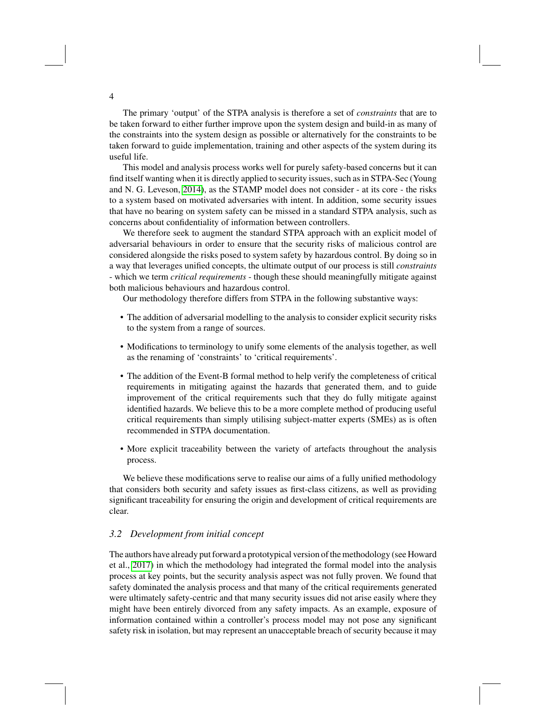The primary 'output' of the STPA analysis is therefore a set of *constraints* that are to be taken forward to either further improve upon the system design and build-in as many of the constraints into the system design as possible or alternatively for the constraints to be taken forward to guide implementation, training and other aspects of the system during its useful life.

This model and analysis process works well for purely safety-based concerns but it can find itself wanting when it is directly applied to security issues, such as in STPA-Sec (Young and N. G. Leveson, [2014\)](#page-19-0), as the STAMP model does not consider - at its core - the risks to a system based on motivated adversaries with intent. In addition, some security issues that have no bearing on system safety can be missed in a standard STPA analysis, such as concerns about confidentiality of information between controllers.

We therefore seek to augment the standard STPA approach with an explicit model of adversarial behaviours in order to ensure that the security risks of malicious control are considered alongside the risks posed to system safety by hazardous control. By doing so in a way that leverages unified concepts, the ultimate output of our process is still *constraints* - which we term *critical requirements* - though these should meaningfully mitigate against both malicious behaviours and hazardous control.

Our methodology therefore differs from STPA in the following substantive ways:

- The addition of adversarial modelling to the analysis to consider explicit security risks to the system from a range of sources.
- Modifications to terminology to unify some elements of the analysis together, as well as the renaming of 'constraints' to 'critical requirements'.
- The addition of the Event-B formal method to help verify the completeness of critical requirements in mitigating against the hazards that generated them, and to guide improvement of the critical requirements such that they do fully mitigate against identified hazards. We believe this to be a more complete method of producing useful critical requirements than simply utilising subject-matter experts (SMEs) as is often recommended in STPA documentation.
- More explicit traceability between the variety of artefacts throughout the analysis process.

We believe these modifications serve to realise our aims of a fully unified methodology that considers both security and safety issues as first-class citizens, as well as providing significant traceability for ensuring the origin and development of critical requirements are clear.

# <span id="page-3-0"></span>*3.2 Development from initial concept*

The authors have already put forward a prototypical version of the methodology (see Howard et al., [2017\)](#page-17-0) in which the methodology had integrated the formal model into the analysis process at key points, but the security analysis aspect was not fully proven. We found that safety dominated the analysis process and that many of the critical requirements generated were ultimately safety-centric and that many security issues did not arise easily where they might have been entirely divorced from any safety impacts. As an example, exposure of information contained within a controller's process model may not pose any significant safety risk in isolation, but may represent an unacceptable breach of security because it may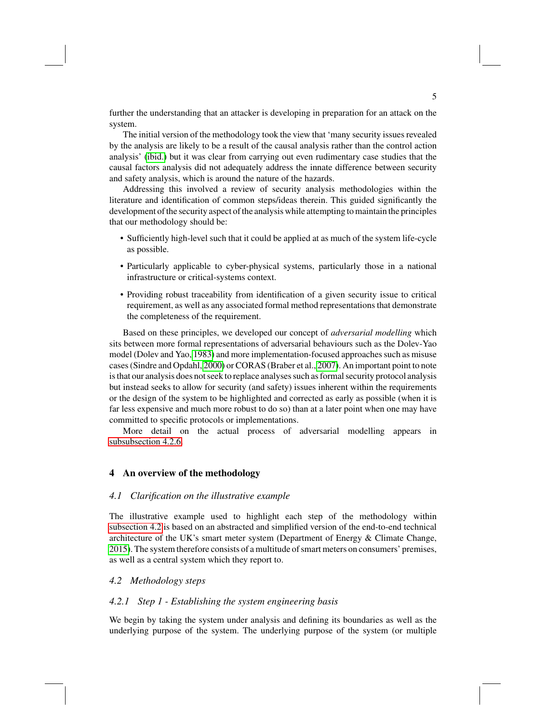further the understanding that an attacker is developing in preparation for an attack on the system.

The initial version of the methodology took the view that 'many security issues revealed by the analysis are likely to be a result of the causal analysis rather than the control action analysis' [\(ibid.\)](#page-17-0) but it was clear from carrying out even rudimentary case studies that the causal factors analysis did not adequately address the innate difference between security and safety analysis, which is around the nature of the hazards.

Addressing this involved a review of security analysis methodologies within the literature and identification of common steps/ideas therein. This guided significantly the development of the security aspect of the analysis while attempting to maintain the principles that our methodology should be:

- Sufficiently high-level such that it could be applied at as much of the system life-cycle as possible.
- Particularly applicable to cyber-physical systems, particularly those in a national infrastructure or critical-systems context.
- Providing robust traceability from identification of a given security issue to critical requirement, as well as any associated formal method representations that demonstrate the completeness of the requirement.

Based on these principles, we developed our concept of *adversarial modelling* which sits between more formal representations of adversarial behaviours such as the Dolev-Yao model (Dolev and Yao, [1983\)](#page-17-10) and more implementation-focused approaches such as misuse cases (Sindre and Opdahl, [2000\)](#page-18-11) or CORAS (Braber et al., [2007\)](#page-17-3). An important point to note is that our analysis does not seek to replace analyses such as formal security protocol analysis but instead seeks to allow for security (and safety) issues inherent within the requirements or the design of the system to be highlighted and corrected as early as possible (when it is far less expensive and much more robust to do so) than at a later point when one may have committed to specific protocols or implementations.

More detail on the actual process of adversarial modelling appears in [subsubsection 4.2.6.](#page-9-0)

### 4 An overview of the methodology

#### *4.1 Clarification on the illustrative example*

The illustrative example used to highlight each step of the methodology within [subsection 4.2](#page-4-0) is based on an abstracted and simplified version of the end-to-end technical architecture of the UK's smart meter system (Department of Energy & Climate Change, [2015\)](#page-17-11). The system therefore consists of a multitude of smart meters on consumers' premises, as well as a central system which they report to.

### <span id="page-4-0"></span>*4.2 Methodology steps*

#### *4.2.1 Step 1 - Establishing the system engineering basis*

We begin by taking the system under analysis and defining its boundaries as well as the underlying purpose of the system. The underlying purpose of the system (or multiple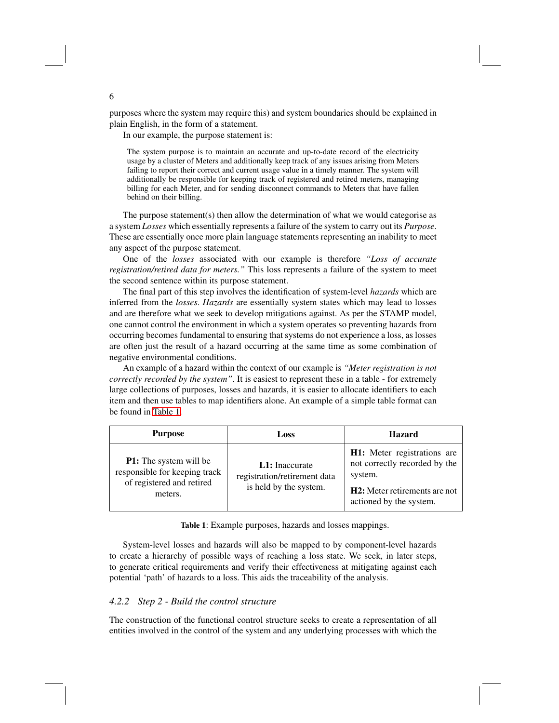purposes where the system may require this) and system boundaries should be explained in plain English, in the form of a statement.

In our example, the purpose statement is:

The system purpose is to maintain an accurate and up-to-date record of the electricity usage by a cluster of Meters and additionally keep track of any issues arising from Meters failing to report their correct and current usage value in a timely manner. The system will additionally be responsible for keeping track of registered and retired meters, managing billing for each Meter, and for sending disconnect commands to Meters that have fallen behind on their billing.

The purpose statement(s) then allow the determination of what we would categorise as a system *Losses* which essentially represents a failure of the system to carry out its *Purpose*. These are essentially once more plain language statements representing an inability to meet any aspect of the purpose statement.

One of the *losses* associated with our example is therefore *"Loss of accurate registration/retired data for meters."* This loss represents a failure of the system to meet the second sentence within its purpose statement.

The final part of this step involves the identification of system-level *hazards* which are inferred from the *losses*. *Hazards* are essentially system states which may lead to losses and are therefore what we seek to develop mitigations against. As per the STAMP model, one cannot control the environment in which a system operates so preventing hazards from occurring becomes fundamental to ensuring that systems do not experience a loss, as losses are often just the result of a hazard occurring at the same time as some combination of negative environmental conditions.

An example of a hazard within the context of our example is *"Meter registration is not correctly recorded by the system"*. It is easiest to represent these in a table - for extremely large collections of purposes, losses and hazards, it is easier to allocate identifiers to each item and then use tables to map identifiers alone. An example of a simple table format can be found in [Table 1.](#page-5-0)

<span id="page-5-0"></span>

| <b>Purpose</b>                                                                                         | Loss                                                                            | Hazard                                                                                                                                           |
|--------------------------------------------------------------------------------------------------------|---------------------------------------------------------------------------------|--------------------------------------------------------------------------------------------------------------------------------------------------|
| <b>P1:</b> The system will be<br>responsible for keeping track<br>of registered and retired<br>meters. | <b>L1:</b> Inaccurate<br>registration/retirement data<br>is held by the system. | H1: Meter registrations are<br>not correctly recorded by the<br>system.<br>H <sub>2</sub> : Meter retirements are not<br>actioned by the system. |

Table 1: Example purposes, hazards and losses mappings.

System-level losses and hazards will also be mapped to by component-level hazards to create a hierarchy of possible ways of reaching a loss state. We seek, in later steps, to generate critical requirements and verify their effectiveness at mitigating against each potential 'path' of hazards to a loss. This aids the traceability of the analysis.

# *4.2.2 Step 2 - Build the control structure*

The construction of the functional control structure seeks to create a representation of all entities involved in the control of the system and any underlying processes with which the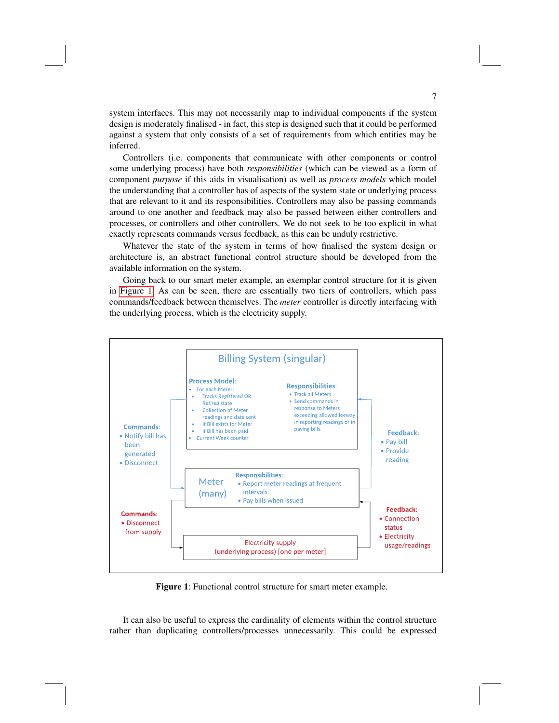system interfaces. This may not necessarily map to individual components if the system design is moderately finalised - in fact, this step is designed such that it could be performed against a system that only consists of a set of requirements from which entities may be inferred.

Controllers (i.e. components that communicate with other components or control some underlying process) have both *responsibilities* (which can be viewed as a form of component *purpose* if this aids in visualisation) as well as *process models* which model the understanding that a controller has of aspects of the system state or underlying process that are relevant to it and its responsibilities. Controllers may also be passing commands around to one another and feedback may also be passed between either controllers and processes, or controllers and other controllers. We do not seek to be too explicit in what exactly represents commands versus feedback, as this can be unduly restrictive.

Whatever the state of the system in terms of how finalised the system design or architecture is, an abstract functional control structure should be developed from the available information on the system.

Going back to our smart meter example, an exemplar control structure for it is given in [Figure 1.](#page-6-0) As can be seen, there are essentially two tiers of controllers, which pass commands/feedback between themselves. The *meter* controller is directly interfacing with the underlying process, which is the electricity supply.

<span id="page-6-0"></span>

Figure 1: Functional control structure for smart meter example.

It can also be useful to express the cardinality of elements within the control structure rather than duplicating controllers/processes unnecessarily. This could be expressed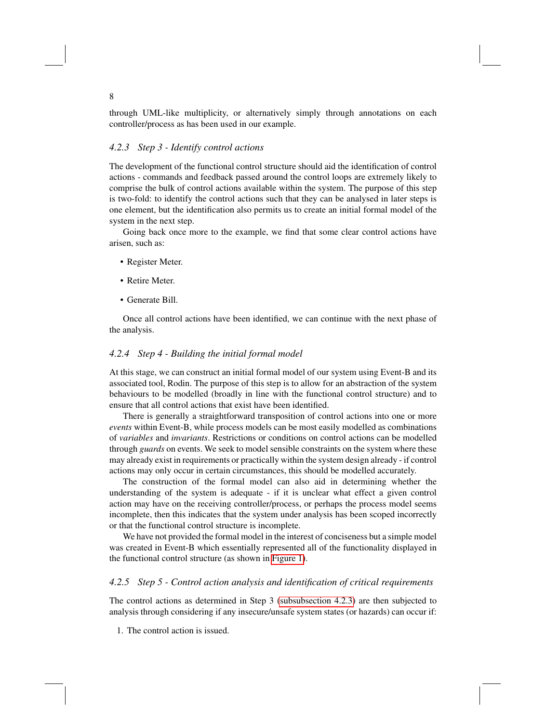through UML-like multiplicity, or alternatively simply through annotations on each controller/process as has been used in our example.

### <span id="page-7-0"></span>*4.2.3 Step 3 - Identify control actions*

The development of the functional control structure should aid the identification of control actions - commands and feedback passed around the control loops are extremely likely to comprise the bulk of control actions available within the system. The purpose of this step is two-fold: to identify the control actions such that they can be analysed in later steps is one element, but the identification also permits us to create an initial formal model of the system in the next step.

Going back once more to the example, we find that some clear control actions have arisen, such as:

- Register Meter.
- Retire Meter.
- Generate Bill.

Once all control actions have been identified, we can continue with the next phase of the analysis.

### *4.2.4 Step 4 - Building the initial formal model*

At this stage, we can construct an initial formal model of our system using Event-B and its associated tool, Rodin. The purpose of this step is to allow for an abstraction of the system behaviours to be modelled (broadly in line with the functional control structure) and to ensure that all control actions that exist have been identified.

There is generally a straightforward transposition of control actions into one or more *events* within Event-B, while process models can be most easily modelled as combinations of *variables* and *invariants*. Restrictions or conditions on control actions can be modelled through *guards* on events. We seek to model sensible constraints on the system where these may already exist in requirements or practically within the system design already - if control actions may only occur in certain circumstances, this should be modelled accurately.

The construction of the formal model can also aid in determining whether the understanding of the system is adequate - if it is unclear what effect a given control action may have on the receiving controller/process, or perhaps the process model seems incomplete, then this indicates that the system under analysis has been scoped incorrectly or that the functional control structure is incomplete.

We have not provided the formal model in the interest of conciseness but a simple model was created in Event-B which essentially represented all of the functionality displayed in the functional control structure (as shown in [Figure 1\)](#page-6-0).

# *4.2.5 Step 5 - Control action analysis and identification of critical requirements*

The control actions as determined in Step 3 [\(subsubsection 4.2.3\)](#page-7-0) are then subjected to analysis through considering if any insecure/unsafe system states (or hazards) can occur if:

1. The control action is issued.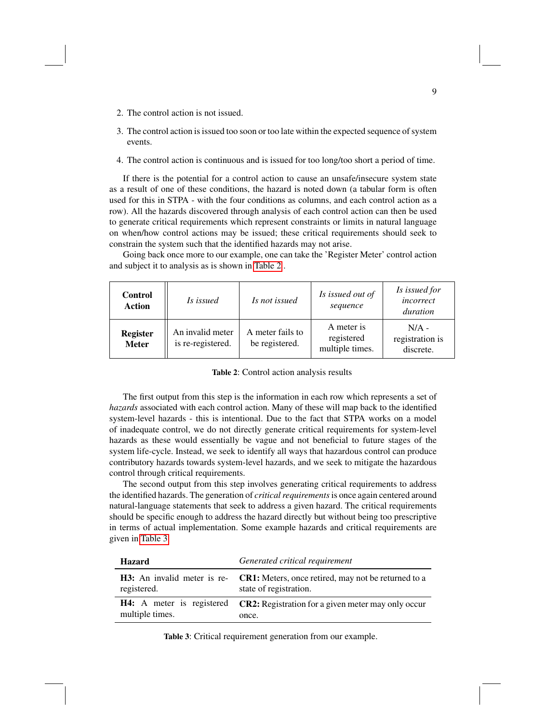- 2. The control action is not issued.
- 3. The control action is issued too soon or too late within the expected sequence of system events.
- 4. The control action is continuous and is issued for too long/too short a period of time.

If there is the potential for a control action to cause an unsafe/insecure system state as a result of one of these conditions, the hazard is noted down (a tabular form is often used for this in STPA - with the four conditions as columns, and each control action as a row). All the hazards discovered through analysis of each control action can then be used to generate critical requirements which represent constraints or limits in natural language on when/how control actions may be issued; these critical requirements should seek to constrain the system such that the identified hazards may not arise.

Going back once more to our example, one can take the 'Register Meter' control action and subject it to analysis as is shown in [Table 2](#page-8-0) .

<span id="page-8-0"></span>

| <b>Control</b><br><b>Action</b> | Is issued                             | Is not issued                      | Is issued out of<br>sequence                | Is issued for<br>incorrect<br>duration  |
|---------------------------------|---------------------------------------|------------------------------------|---------------------------------------------|-----------------------------------------|
| <b>Register</b><br><b>Meter</b> | An invalid meter<br>is re-registered. | A meter fails to<br>be registered. | A meter is<br>registered<br>multiple times. | $N/A$ -<br>registration is<br>discrete. |

Table 2: Control action analysis results

The first output from this step is the information in each row which represents a set of *hazards* associated with each control action. Many of these will map back to the identified system-level hazards - this is intentional. Due to the fact that STPA works on a model of inadequate control, we do not directly generate critical requirements for system-level hazards as these would essentially be vague and not beneficial to future stages of the system life-cycle. Instead, we seek to identify all ways that hazardous control can produce contributory hazards towards system-level hazards, and we seek to mitigate the hazardous control through critical requirements.

The second output from this step involves generating critical requirements to address the identified hazards. The generation of *critical requirements*is once again centered around natural-language statements that seek to address a given hazard. The critical requirements should be specific enough to address the hazard directly but without being too prescriptive in terms of actual implementation. Some example hazards and critical requirements are given in [Table 3.](#page-8-1)

<span id="page-8-1"></span>

| Hazard          | Generated critical requirement                                                                                          |
|-----------------|-------------------------------------------------------------------------------------------------------------------------|
| registered.     | <b>H3:</b> An invalid meter is re- <b>CR1:</b> Meters, once retired, may not be returned to a<br>state of registration. |
| multiple times. | H4: A meter is registered CR2: Registration for a given meter may only occur<br>once.                                   |

Table 3: Critical requirement generation from our example.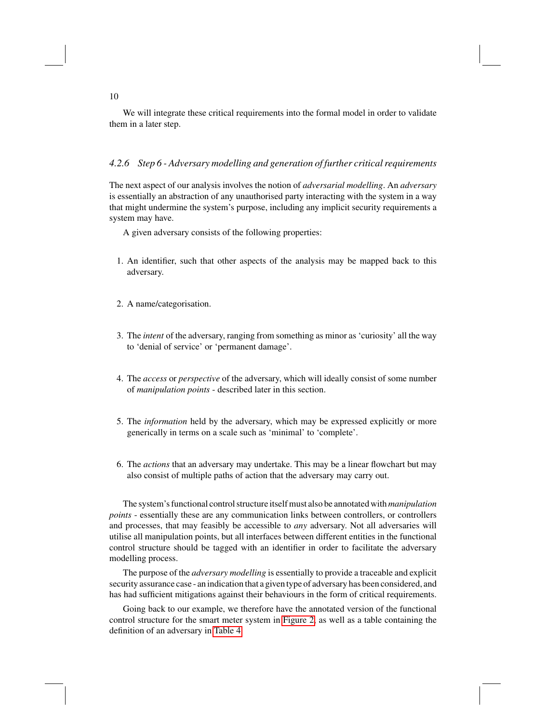We will integrate these critical requirements into the formal model in order to validate them in a later step.

#### <span id="page-9-0"></span>*4.2.6 Step 6 - Adversary modelling and generation of further critical requirements*

The next aspect of our analysis involves the notion of *adversarial modelling*. An *adversary* is essentially an abstraction of any unauthorised party interacting with the system in a way that might undermine the system's purpose, including any implicit security requirements a system may have.

A given adversary consists of the following properties:

- 1. An identifier, such that other aspects of the analysis may be mapped back to this adversary.
- 2. A name/categorisation.
- 3. The *intent* of the adversary, ranging from something as minor as 'curiosity' all the way to 'denial of service' or 'permanent damage'.
- 4. The *access* or *perspective* of the adversary, which will ideally consist of some number of *manipulation points* - described later in this section.
- 5. The *information* held by the adversary, which may be expressed explicitly or more generically in terms on a scale such as 'minimal' to 'complete'.
- 6. The *actions* that an adversary may undertake. This may be a linear flowchart but may also consist of multiple paths of action that the adversary may carry out.

The system's functional control structure itself must also be annotated with *manipulation points* - essentially these are any communication links between controllers, or controllers and processes, that may feasibly be accessible to *any* adversary. Not all adversaries will utilise all manipulation points, but all interfaces between different entities in the functional control structure should be tagged with an identifier in order to facilitate the adversary modelling process.

The purpose of the *adversary modelling* is essentially to provide a traceable and explicit security assurance case - an indication that a given type of adversary has been considered, and has had sufficient mitigations against their behaviours in the form of critical requirements.

Going back to our example, we therefore have the annotated version of the functional control structure for the smart meter system in [Figure 2,](#page-10-0) as well as a table containing the definition of an adversary in [Table 4.](#page-10-1)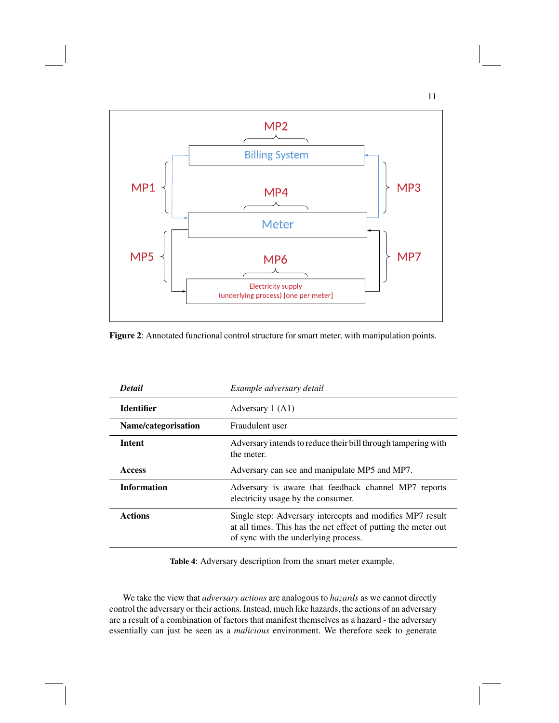<span id="page-10-0"></span>

Figure 2: Annotated functional control structure for smart meter, with manipulation points.

<span id="page-10-1"></span>

| <b>Detail</b>       | Example adversary detail                                                                                                                                            |
|---------------------|---------------------------------------------------------------------------------------------------------------------------------------------------------------------|
| <b>Identifier</b>   | Adversary 1 (A1)                                                                                                                                                    |
| Name/categorisation | Fraudulent user                                                                                                                                                     |
| <b>Intent</b>       | Adversary intends to reduce their bill through tampering with<br>the meter.                                                                                         |
| <b>Access</b>       | Adversary can see and manipulate MP5 and MP7.                                                                                                                       |
| <b>Information</b>  | Adversary is aware that feedback channel MP7 reports<br>electricity usage by the consumer.                                                                          |
| <b>Actions</b>      | Single step: Adversary intercepts and modifies MP7 result<br>at all times. This has the net effect of putting the meter out<br>of sync with the underlying process. |

Table 4: Adversary description from the smart meter example.

We take the view that *adversary actions* are analogous to *hazards* as we cannot directly control the adversary or their actions. Instead, much like hazards, the actions of an adversary are a result of a combination of factors that manifest themselves as a hazard - the adversary essentially can just be seen as a *malicious* environment. We therefore seek to generate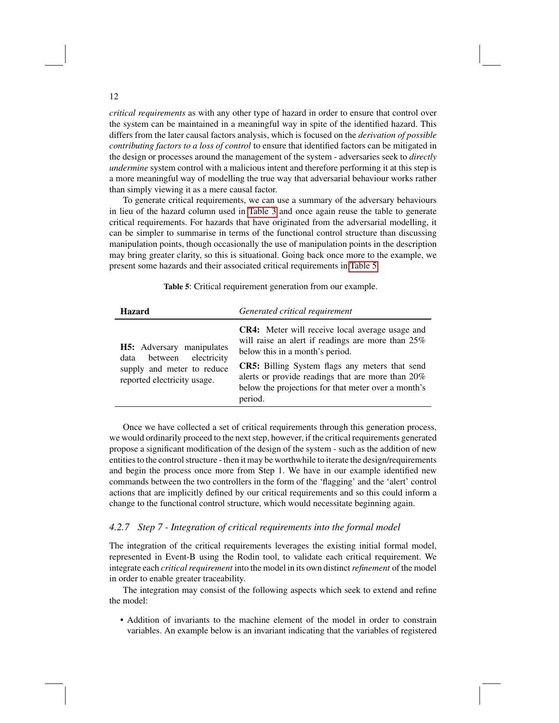*critical requirements* as with any other type of hazard in order to ensure that control over the system can be maintained in a meaningful way in spite of the identified hazard. This differs from the later causal factors analysis, which is focused on the *derivation of possible contributing factors to a loss of control* to ensure that identified factors can be mitigated in the design or processes around the management of the system - adversaries seek to *directly undermine* system control with a malicious intent and therefore performing it at this step is a more meaningful way of modelling the true way that adversarial behaviour works rather than simply viewing it as a mere causal factor.

To generate critical requirements, we can use a summary of the adversary behaviours in lieu of the hazard column used in [Table 3](#page-8-1) and once again reuse the table to generate critical requirements. For hazards that have originated from the adversarial modelling, it can be simpler to summarise in terms of the functional control structure than discussing manipulation points, though occasionally the use of manipulation points in the description may bring greater clarity, so this is situational. Going back once more to the example, we present some hazards and their associated critical requirements in [Table 5.](#page-11-0)

Table 5: Critical requirement generation from our example.

<span id="page-11-0"></span>

| <b>Hazard</b>                                                                                                                | Generated critical requirement                                                                                                                                                                                                                                                                                                  |
|------------------------------------------------------------------------------------------------------------------------------|---------------------------------------------------------------------------------------------------------------------------------------------------------------------------------------------------------------------------------------------------------------------------------------------------------------------------------|
| <b>H5:</b> Adversary manipulates<br>between electricity<br>data<br>supply and meter to reduce<br>reported electricity usage. | <b>CR4:</b> Meter will receive local average usage and<br>will raise an alert if readings are more than 25%<br>below this in a month's period.<br><b>CR5</b> : Billing System flags any meters that send<br>alerts or provide readings that are more than 20%<br>below the projections for that meter over a month's<br>period. |

Once we have collected a set of critical requirements through this generation process, we would ordinarily proceed to the next step, however, if the critical requirements generated propose a significant modification of the design of the system - such as the addition of new entities to the control structure - then it may be worthwhile to iterate the design/requirements and begin the process once more from Step 1. We have in our example identified new commands between the two controllers in the form of the 'flagging' and the 'alert' control actions that are implicitly defined by our critical requirements and so this could inform a change to the functional control structure, which would necessitate beginning again.

#### *4.2.7 Step 7 - Integration of critical requirements into the formal model*

The integration of the critical requirements leverages the existing initial formal model, represented in Event-B using the Rodin tool, to validate each critical requirement. We integrate each *critical requirement* into the model in its own distinct*refinement* of the model in order to enable greater traceability.

The integration may consist of the following aspects which seek to extend and refine the model:

• Addition of invariants to the machine element of the model in order to constrain variables. An example below is an invariant indicating that the variables of registered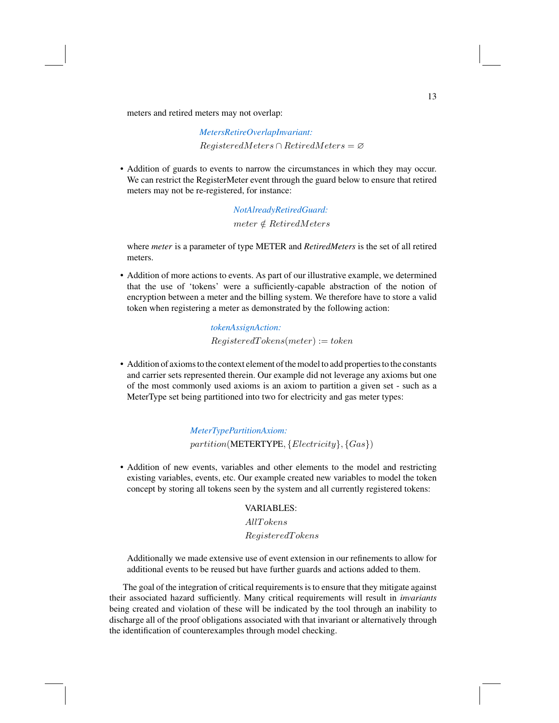meters and retired meters may not overlap:

*MetersRetireOverlapInvariant:*  $RegisteredMeters \cap RetrievedMeters = \varnothing$ 

• Addition of guards to events to narrow the circumstances in which they may occur. We can restrict the RegisterMeter event through the guard below to ensure that retired meters may not be re-registered, for instance:

> *NotAlreadyRetiredGuard:*  $meter \notin RetrievedMeters$

where *meter* is a parameter of type METER and *RetiredMeters* is the set of all retired meters.

• Addition of more actions to events. As part of our illustrative example, we determined that the use of 'tokens' were a sufficiently-capable abstraction of the notion of encryption between a meter and the billing system. We therefore have to store a valid token when registering a meter as demonstrated by the following action:

> *tokenAssignAction:*  $Registered Tokens(meter) := token$

• Addition of axioms to the context element of the model to add properties to the constants and carrier sets represented therein. Our example did not leverage any axioms but one of the most commonly used axioms is an axiom to partition a given set - such as a MeterType set being partitioned into two for electricity and gas meter types:

> *MeterTypePartitionAxiom:*  $partition(METERTYPE, {Electricity}, {Gas})$

• Addition of new events, variables and other elements to the model and restricting existing variables, events, etc. Our example created new variables to model the token concept by storing all tokens seen by the system and all currently registered tokens:

#### VARIABLES:

# AllT okens

#### RegisteredT okens

Additionally we made extensive use of event extension in our refinements to allow for additional events to be reused but have further guards and actions added to them.

The goal of the integration of critical requirements is to ensure that they mitigate against their associated hazard sufficiently. Many critical requirements will result in *invariants* being created and violation of these will be indicated by the tool through an inability to discharge all of the proof obligations associated with that invariant or alternatively through the identification of counterexamples through model checking.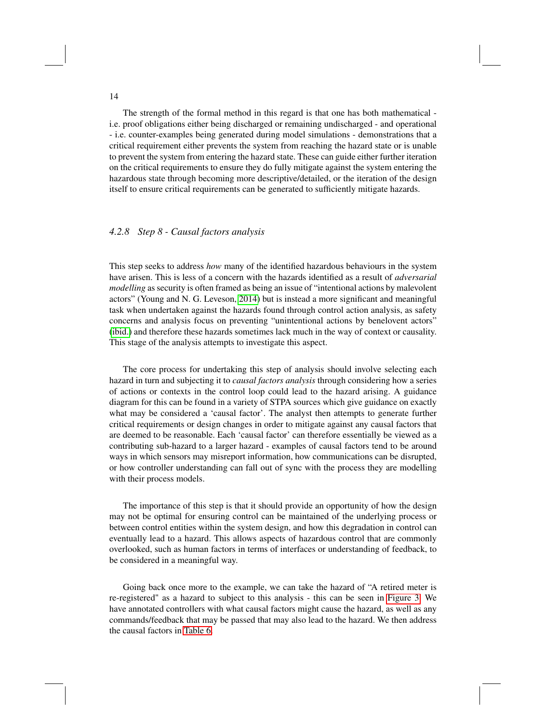The strength of the formal method in this regard is that one has both mathematical i.e. proof obligations either being discharged or remaining undischarged - and operational - i.e. counter-examples being generated during model simulations - demonstrations that a critical requirement either prevents the system from reaching the hazard state or is unable to prevent the system from entering the hazard state. These can guide either further iteration on the critical requirements to ensure they do fully mitigate against the system entering the hazardous state through becoming more descriptive/detailed, or the iteration of the design itself to ensure critical requirements can be generated to sufficiently mitigate hazards.

### *4.2.8 Step 8 - Causal factors analysis*

This step seeks to address *how* many of the identified hazardous behaviours in the system have arisen. This is less of a concern with the hazards identified as a result of *adversarial modelling* as security is often framed as being an issue of "intentional actions by malevolent actors" (Young and N. G. Leveson, [2014\)](#page-19-0) but is instead a more significant and meaningful task when undertaken against the hazards found through control action analysis, as safety concerns and analysis focus on preventing "unintentional actions by benelovent actors" [\(ibid.\)](#page-19-0) and therefore these hazards sometimes lack much in the way of context or causality. This stage of the analysis attempts to investigate this aspect.

The core process for undertaking this step of analysis should involve selecting each hazard in turn and subjecting it to *causal factors analysis* through considering how a series of actions or contexts in the control loop could lead to the hazard arising. A guidance diagram for this can be found in a variety of STPA sources which give guidance on exactly what may be considered a 'causal factor'. The analyst then attempts to generate further critical requirements or design changes in order to mitigate against any causal factors that are deemed to be reasonable. Each 'causal factor' can therefore essentially be viewed as a contributing sub-hazard to a larger hazard - examples of causal factors tend to be around ways in which sensors may misreport information, how communications can be disrupted, or how controller understanding can fall out of sync with the process they are modelling with their process models.

The importance of this step is that it should provide an opportunity of how the design may not be optimal for ensuring control can be maintained of the underlying process or between control entities within the system design, and how this degradation in control can eventually lead to a hazard. This allows aspects of hazardous control that are commonly overlooked, such as human factors in terms of interfaces or understanding of feedback, to be considered in a meaningful way.

Going back once more to the example, we can take the hazard of "A retired meter is re-registered" as a hazard to subject to this analysis - this can be seen in [Figure 3.](#page-14-0) We have annotated controllers with what causal factors might cause the hazard, as well as any commands/feedback that may be passed that may also lead to the hazard. We then address the causal factors in [Table 6.](#page-14-1)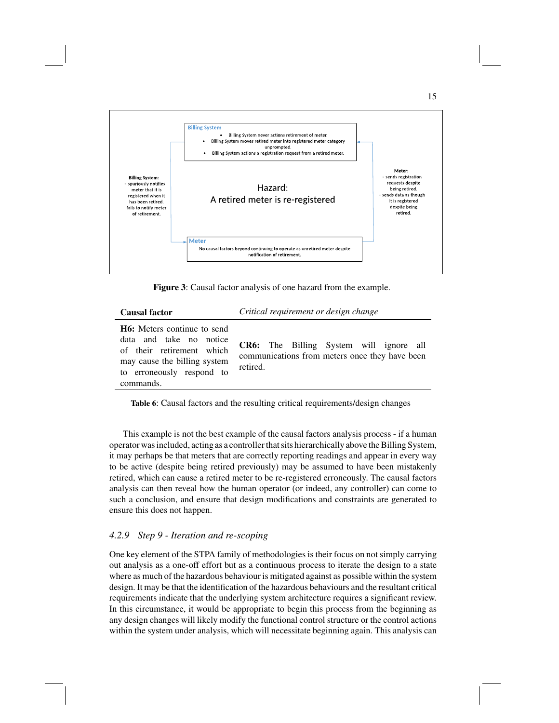<span id="page-14-0"></span>

Figure 3: Causal factor analysis of one hazard from the example.

<span id="page-14-1"></span>

| <b>Causal factor</b>                                                                                                                                                 | Critical requirement or design change                                                                        |
|----------------------------------------------------------------------------------------------------------------------------------------------------------------------|--------------------------------------------------------------------------------------------------------------|
| <b>H6:</b> Meters continue to send<br>data and take no notice<br>of their retirement which<br>may cause the billing system<br>to erroneously respond to<br>commands. | <b>CR6:</b> The Billing System will ignore all<br>communications from meters once they have been<br>retired. |

Table 6: Causal factors and the resulting critical requirements/design changes

This example is not the best example of the causal factors analysis process - if a human operator was included, acting as a controller that sits hierarchically above the Billing System, it may perhaps be that meters that are correctly reporting readings and appear in every way to be active (despite being retired previously) may be assumed to have been mistakenly retired, which can cause a retired meter to be re-registered erroneously. The causal factors analysis can then reveal how the human operator (or indeed, any controller) can come to such a conclusion, and ensure that design modifications and constraints are generated to ensure this does not happen.

# *4.2.9 Step 9 - Iteration and re-scoping*

One key element of the STPA family of methodologies is their focus on not simply carrying out analysis as a one-off effort but as a continuous process to iterate the design to a state where as much of the hazardous behaviour is mitigated against as possible within the system design. It may be that the identification of the hazardous behaviours and the resultant critical requirements indicate that the underlying system architecture requires a significant review. In this circumstance, it would be appropriate to begin this process from the beginning as any design changes will likely modify the functional control structure or the control actions within the system under analysis, which will necessitate beginning again. This analysis can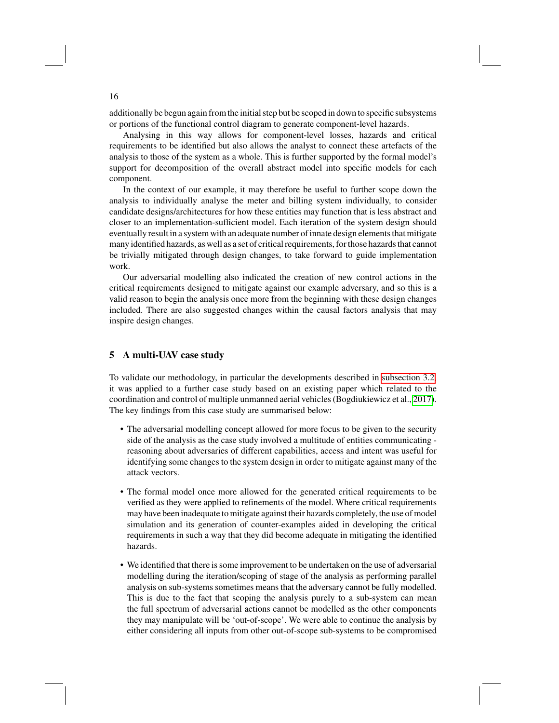additionally be begun again from the initial step but be scoped in down to specific subsystems or portions of the functional control diagram to generate component-level hazards.

Analysing in this way allows for component-level losses, hazards and critical requirements to be identified but also allows the analyst to connect these artefacts of the analysis to those of the system as a whole. This is further supported by the formal model's support for decomposition of the overall abstract model into specific models for each component.

In the context of our example, it may therefore be useful to further scope down the analysis to individually analyse the meter and billing system individually, to consider candidate designs/architectures for how these entities may function that is less abstract and closer to an implementation-sufficient model. Each iteration of the system design should eventually result in a system with an adequate number of innate design elements that mitigate many identified hazards, as well as a set of critical requirements, for those hazards that cannot be trivially mitigated through design changes, to take forward to guide implementation work.

Our adversarial modelling also indicated the creation of new control actions in the critical requirements designed to mitigate against our example adversary, and so this is a valid reason to begin the analysis once more from the beginning with these design changes included. There are also suggested changes within the causal factors analysis that may inspire design changes.

#### 5 A multi-UAV case study

To validate our methodology, in particular the developments described in [subsection 3.2,](#page-3-0) it was applied to a further case study based on an existing paper which related to the coordination and control of multiple unmanned aerial vehicles (Bogdiukiewicz et al., [2017\)](#page-17-12). The key findings from this case study are summarised below:

- The adversarial modelling concept allowed for more focus to be given to the security side of the analysis as the case study involved a multitude of entities communicating reasoning about adversaries of different capabilities, access and intent was useful for identifying some changes to the system design in order to mitigate against many of the attack vectors.
- The formal model once more allowed for the generated critical requirements to be verified as they were applied to refinements of the model. Where critical requirements may have been inadequate to mitigate against their hazards completely, the use of model simulation and its generation of counter-examples aided in developing the critical requirements in such a way that they did become adequate in mitigating the identified hazards.
- We identified that there is some improvement to be undertaken on the use of adversarial modelling during the iteration/scoping of stage of the analysis as performing parallel analysis on sub-systems sometimes means that the adversary cannot be fully modelled. This is due to the fact that scoping the analysis purely to a sub-system can mean the full spectrum of adversarial actions cannot be modelled as the other components they may manipulate will be 'out-of-scope'. We were able to continue the analysis by either considering all inputs from other out-of-scope sub-systems to be compromised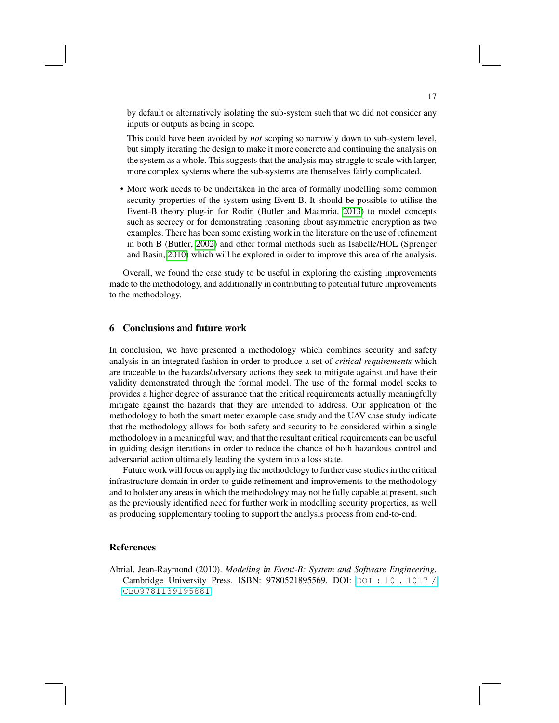by default or alternatively isolating the sub-system such that we did not consider any inputs or outputs as being in scope.

This could have been avoided by *not* scoping so narrowly down to sub-system level, but simply iterating the design to make it more concrete and continuing the analysis on the system as a whole. This suggests that the analysis may struggle to scale with larger, more complex systems where the sub-systems are themselves fairly complicated.

• More work needs to be undertaken in the area of formally modelling some common security properties of the system using Event-B. It should be possible to utilise the Event-B theory plug-in for Rodin (Butler and Maamria, [2013\)](#page-17-13) to model concepts such as secrecy or for demonstrating reasoning about asymmetric encryption as two examples. There has been some existing work in the literature on the use of refinement in both B (Butler, [2002\)](#page-17-14) and other formal methods such as Isabelle/HOL (Sprenger and Basin, [2010\)](#page-18-12) which will be explored in order to improve this area of the analysis.

Overall, we found the case study to be useful in exploring the existing improvements made to the methodology, and additionally in contributing to potential future improvements to the methodology.

### 6 Conclusions and future work

In conclusion, we have presented a methodology which combines security and safety analysis in an integrated fashion in order to produce a set of *critical requirements* which are traceable to the hazards/adversary actions they seek to mitigate against and have their validity demonstrated through the formal model. The use of the formal model seeks to provides a higher degree of assurance that the critical requirements actually meaningfully mitigate against the hazards that they are intended to address. Our application of the methodology to both the smart meter example case study and the UAV case study indicate that the methodology allows for both safety and security to be considered within a single methodology in a meaningful way, and that the resultant critical requirements can be useful in guiding design iterations in order to reduce the chance of both hazardous control and adversarial action ultimately leading the system into a loss state.

Future work will focus on applying the methodology to further case studies in the critical infrastructure domain in order to guide refinement and improvements to the methodology and to bolster any areas in which the methodology may not be fully capable at present, such as the previously identified need for further work in modelling security properties, as well as producing supplementary tooling to support the analysis process from end-to-end.

### **References**

<span id="page-16-0"></span>Abrial, Jean-Raymond (2010). *Modeling in Event-B: System and Software Engineering*. Cambridge University Press. ISBN: 9780521895569. DOI: [DOI : 10 . 1017 /](https://doi.org/DOI: 10.1017/CBO9781139195881) [CBO9781139195881](https://doi.org/DOI: 10.1017/CBO9781139195881).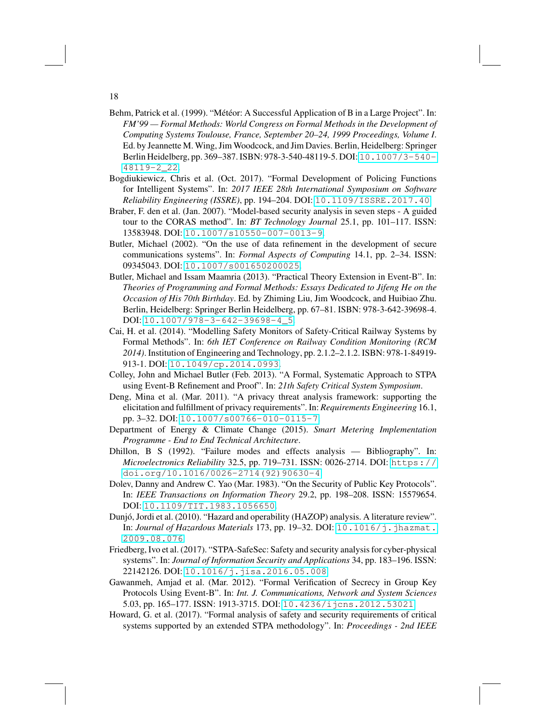- <span id="page-17-6"></span>Behm, Patrick et al. (1999). "Météor: A Successful Application of B in a Large Project". In: *FM'99 — Formal Methods: World Congress on Formal Methods in the Development of Computing Systems Toulouse, France, September 20–24, 1999 Proceedings, Volume I*. Ed. by Jeannette M. Wing, Jim Woodcock, and Jim Davies. Berlin, Heidelberg: Springer Berlin Heidelberg, pp. 369–387. ISBN: 978-3-540-48119-5. DOI: [10.1007/3-540-](https://doi.org/10.1007/3-540-48119-2_22) [48119-2\\_22](https://doi.org/10.1007/3-540-48119-2_22).
- <span id="page-17-12"></span>Bogdiukiewicz, Chris et al. (Oct. 2017). "Formal Development of Policing Functions for Intelligent Systems". In: *2017 IEEE 28th International Symposium on Software Reliability Engineering (ISSRE)*, pp. 194–204. DOI: [10.1109/ISSRE.2017.40](https://doi.org/10.1109/ISSRE.2017.40).
- <span id="page-17-3"></span>Braber, F. den et al. (Jan. 2007). "Model-based security analysis in seven steps - A guided tour to the CORAS method". In: *BT Technology Journal* 25.1, pp. 101–117. ISSN: 13583948. DOI: [10.1007/s10550-007-0013-9](https://doi.org/10.1007/s10550-007-0013-9).
- <span id="page-17-14"></span>Butler, Michael (2002). "On the use of data refinement in the development of secure communications systems". In: *Formal Aspects of Computing* 14.1, pp. 2–34. ISSN: 09345043. DOI: [10.1007/s001650200025](https://doi.org/10.1007/s001650200025).
- <span id="page-17-13"></span>Butler, Michael and Issam Maamria (2013). "Practical Theory Extension in Event-B". In: *Theories of Programming and Formal Methods: Essays Dedicated to Jifeng He on the Occasion of His 70th Birthday*. Ed. by Zhiming Liu, Jim Woodcock, and Huibiao Zhu. Berlin, Heidelberg: Springer Berlin Heidelberg, pp. 67–81. ISBN: 978-3-642-39698-4. DOI: [10.1007/978-3-642-39698-4\\_5](https://doi.org/10.1007/978-3-642-39698-4_5).
- <span id="page-17-5"></span>Cai, H. et al. (2014). "Modelling Safety Monitors of Safety-Critical Railway Systems by Formal Methods". In: *6th IET Conference on Railway Condition Monitoring (RCM 2014)*. Institution of Engineering and Technology, pp. 2.1.2–2.1.2. ISBN: 978-1-84919- 913-1. DOI: [10.1049/cp.2014.0993](https://doi.org/10.1049/cp.2014.0993).
- <span id="page-17-8"></span>Colley, John and Michael Butler (Feb. 2013). "A Formal, Systematic Approach to STPA using Event-B Refinement and Proof". In: *21th Safety Critical System Symposium*.
- <span id="page-17-4"></span>Deng, Mina et al. (Mar. 2011). "A privacy threat analysis framework: supporting the elicitation and fulfillment of privacy requirements". In: *Requirements Engineering* 16.1, pp. 3–32. DOI: [10.1007/s00766-010-0115-7](https://doi.org/10.1007/s00766-010-0115-7).
- <span id="page-17-11"></span>Department of Energy & Climate Change (2015). *Smart Metering Implementation Programme - End to End Technical Architecture*.
- <span id="page-17-2"></span>Dhillon, B S (1992). "Failure modes and effects analysis — Bibliography". In: *Microelectronics Reliability* 32.5, pp. 719–731. ISSN: 0026-2714. DOI: [https://](https://doi.org/https://doi.org/10.1016/0026-2714(92)90630-4) [doi.org/10.1016/0026-2714\(92\)90630-4](https://doi.org/https://doi.org/10.1016/0026-2714(92)90630-4).
- <span id="page-17-10"></span>Dolev, Danny and Andrew C. Yao (Mar. 1983). "On the Security of Public Key Protocols". In: *IEEE Transactions on Information Theory* 29.2, pp. 198–208. ISSN: 15579654. DOI: [10.1109/TIT.1983.1056650](https://doi.org/10.1109/TIT.1983.1056650).
- <span id="page-17-1"></span>Dunjó, Jordi et al. (2010). "Hazard and operability (HAZOP) analysis. A literature review". In: *Journal of Hazardous Materials* 173, pp. 19-32. DOI: [10.1016/j.jhazmat.](https://doi.org/10.1016/j.jhazmat.2009.08.076) [2009.08.076](https://doi.org/10.1016/j.jhazmat.2009.08.076).
- <span id="page-17-9"></span>Friedberg, Ivo et al. (2017). "STPA-SafeSec: Safety and security analysis for cyber-physical systems". In: *Journal of Information Security and Applications* 34, pp. 183–196. ISSN: 22142126. DOI: [10.1016/j.jisa.2016.05.008](https://doi.org/10.1016/j.jisa.2016.05.008).
- <span id="page-17-7"></span>Gawanmeh, Amjad et al. (Mar. 2012). "Formal Verification of Secrecy in Group Key Protocols Using Event-B". In: *Int. J. Communications, Network and System Sciences* 5.03, pp. 165–177. ISSN: 1913-3715. DOI: [10.4236/ijcns.2012.53021](https://doi.org/10.4236/ijcns.2012.53021).
- <span id="page-17-0"></span>Howard, G. et al. (2017). "Formal analysis of safety and security requirements of critical systems supported by an extended STPA methodology". In: *Proceedings - 2nd IEEE*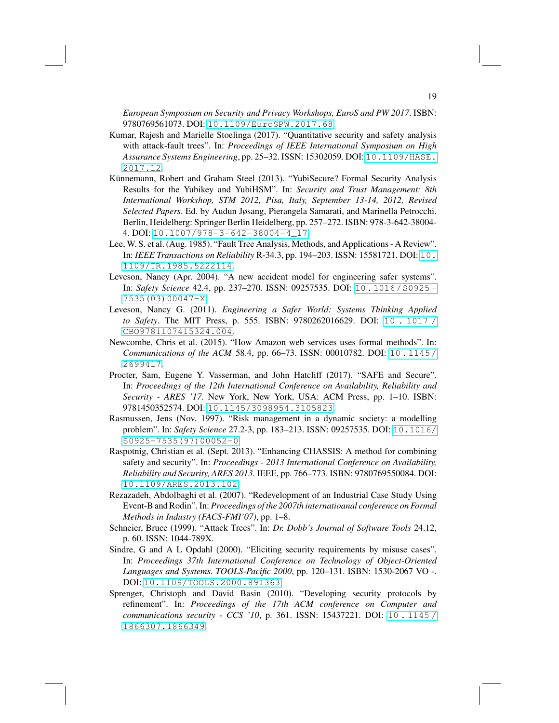*European Symposium on Security and Privacy Workshops, EuroS and PW 2017*. ISBN: 9780769561073. DOI: [10.1109/EuroSPW.2017.68](https://doi.org/10.1109/EuroSPW.2017.68).

- <span id="page-18-8"></span>Kumar, Rajesh and Marielle Stoelinga (2017). "Quantitative security and safety analysis with attack-fault trees". In: *Proceedings of IEEE International Symposium on High Assurance Systems Engineering*, pp. 25–32. ISSN: 15302059. DOI: [10.1109/HASE.](https://doi.org/10.1109/HASE.2017.12) [2017.12](https://doi.org/10.1109/HASE.2017.12).
- <span id="page-18-3"></span>Künnemann, Robert and Graham Steel (2013). "YubiSecure? Formal Security Analysis Results for the Yubikey and YubiHSM". In: *Security and Trust Management: 8th International Workshop, STM 2012, Pisa, Italy, September 13-14, 2012, Revised Selected Papers*. Ed. by Audun Jøsang, Pierangela Samarati, and Marinella Petrocchi. Berlin, Heidelberg: Springer Berlin Heidelberg, pp. 257–272. ISBN: 978-3-642-38004- 4. DOI: [10.1007/978-3-642-38004-4\\_17](https://doi.org/10.1007/978-3-642-38004-4_17).
- <span id="page-18-1"></span>Lee, W. S. et al. (Aug. 1985). "Fault Tree Analysis, Methods, and Applications - A Review". In: *IEEE Transactions on Reliability* R-34.3, pp. 194–203. ISSN: 15581721. DOI: [10.](https://doi.org/10.1109/TR.1985.5222114) [1109/TR.1985.5222114](https://doi.org/10.1109/TR.1985.5222114).
- <span id="page-18-10"></span>Leveson, Nancy (Apr. 2004). "A new accident model for engineering safer systems". In: *Safety Science* 42.4, pp. 237–270. ISSN: 09257535. DOI: [10.1016/S0925-](https://doi.org/10.1016/S0925-7535(03)00047-X) [7535\(03\)00047-X](https://doi.org/10.1016/S0925-7535(03)00047-X).
- <span id="page-18-0"></span>Leveson, Nancy G. (2011). *Engineering a Safer World: Systems Thinking Applied to Safety*. The MIT Press, p. 555. ISBN: 9780262016629. DOI: [10 . 1017 /](https://doi.org/10.1017/CBO9781107415324.004) [CBO9781107415324.004](https://doi.org/10.1017/CBO9781107415324.004).
- <span id="page-18-5"></span>Newcombe, Chris et al. (2015). "How Amazon web services uses formal methods". In: *Communications of the ACM* 58.4, pp. 66–73. ISSN: 00010782. DOI: [10 . 1145 /](https://doi.org/10.1145/2699417) [2699417](https://doi.org/10.1145/2699417).
- <span id="page-18-9"></span>Procter, Sam, Eugene Y. Vasserman, and John Hatcliff (2017). "SAFE and Secure". In: *Proceedings of the 12th International Conference on Availability, Reliability and Security - ARES '17*. New York, New York, USA: ACM Press, pp. 1–10. ISBN: 9781450352574. DOI: [10.1145/3098954.3105823](https://doi.org/10.1145/3098954.3105823).
- <span id="page-18-2"></span>Rasmussen, Jens (Nov. 1997). "Risk management in a dynamic society: a modelling problem". In: *Safety Science* 27.2-3, pp. 183–213. ISSN: 09257535. DOI: [10.1016/](https://doi.org/10.1016/S0925-7535(97)00052-0) [S0925-7535\(97\)00052-0](https://doi.org/10.1016/S0925-7535(97)00052-0).
- <span id="page-18-7"></span>Raspotnig, Christian et al. (Sept. 2013). "Enhancing CHASSIS: A method for combining safety and security". In: *Proceedings - 2013 International Conference on Availability, Reliability and Security, ARES 2013*. IEEE, pp. 766–773. ISBN: 9780769550084. DOI: [10.1109/ARES.2013.102](https://doi.org/10.1109/ARES.2013.102).
- <span id="page-18-6"></span>Rezazadeh, Abdolbaghi et al. (2007). "Redevelopment of an Industrial Case Study Using Event-B and Rodin". In: *Proceedings of the 2007th internatioanal conference on Formal Methods in Industry (FACS-FMI'07)*, pp. 1–8.
- <span id="page-18-4"></span>Schneier, Bruce (1999). "Attack Trees". In: *Dr. Dobb's Journal of Software Tools* 24.12, p. 60. ISSN: 1044-789X.
- <span id="page-18-11"></span>Sindre, G and A L Opdahl (2000). "Eliciting security requirements by misuse cases". In: *Proceedings 37th International Conference on Technology of Object-Oriented Languages and Systems. TOOLS-Pacific 2000*, pp. 120–131. ISBN: 1530-2067 VO -. DOI: [10.1109/TOOLS.2000.891363](https://doi.org/10.1109/TOOLS.2000.891363).
- <span id="page-18-12"></span>Sprenger, Christoph and David Basin (2010). "Developing security protocols by refinement". In: *Proceedings of the 17th ACM conference on Computer and communications security - CCS '10*, p. 361. ISSN: 15437221. DOI: [10 . 1145 /](https://doi.org/10.1145/1866307.1866349) [1866307.1866349](https://doi.org/10.1145/1866307.1866349).